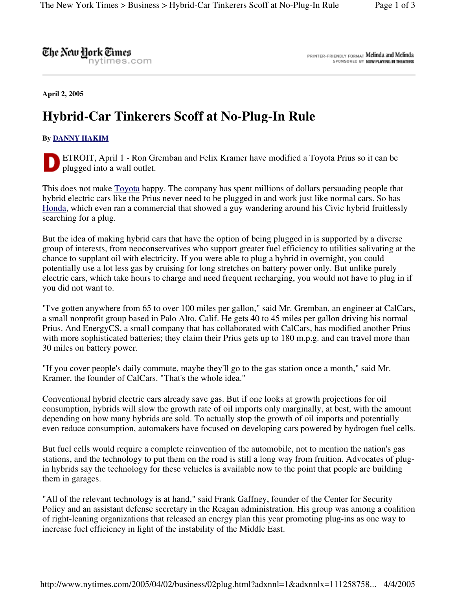The New Hork Times

nytimes.com

PRINTER-FRIENDLY FORMAT Melinda and Melinda SPONSORED BY NOW PLAYING IN THEATERS

**April 2, 2005**

## **Hybrid-Car Tinkerers Scoff at No-Plug-In Rule**

## **By DANNY HAKIM**

ETROIT, April 1 - Ron Gremban and Felix Kramer have modified a Toyota Prius so it can be plugged into a wall outlet.

This does not make Toyota happy. The company has spent millions of dollars persuading people that hybrid electric cars like the Prius never need to be plugged in and work just like normal cars. So has Honda, which even ran a commercial that showed a guy wandering around his Civic hybrid fruitlessly searching for a plug.

But the idea of making hybrid cars that have the option of being plugged in is supported by a diverse group of interests, from neoconservatives who support greater fuel efficiency to utilities salivating at the chance to supplant oil with electricity. If you were able to plug a hybrid in overnight, you could potentially use a lot less gas by cruising for long stretches on battery power only. But unlike purely electric cars, which take hours to charge and need frequent recharging, you would not have to plug in if you did not want to.

"I've gotten anywhere from 65 to over 100 miles per gallon," said Mr. Gremban, an engineer at CalCars, a small nonprofit group based in Palo Alto, Calif. He gets 40 to 45 miles per gallon driving his normal Prius. And EnergyCS, a small company that has collaborated with CalCars, has modified another Prius with more sophisticated batteries; they claim their Prius gets up to 180 m.p.g. and can travel more than 30 miles on battery power.

"If you cover people's daily commute, maybe they'll go to the gas station once a month," said Mr. Kramer, the founder of CalCars. "That's the whole idea."

Conventional hybrid electric cars already save gas. But if one looks at growth projections for oil consumption, hybrids will slow the growth rate of oil imports only marginally, at best, with the amount depending on how many hybrids are sold. To actually stop the growth of oil imports and potentially even reduce consumption, automakers have focused on developing cars powered by hydrogen fuel cells.

But fuel cells would require a complete reinvention of the automobile, not to mention the nation's gas stations, and the technology to put them on the road is still a long way from fruition. Advocates of plugin hybrids say the technology for these vehicles is available now to the point that people are building them in garages.

"All of the relevant technology is at hand," said Frank Gaffney, founder of the Center for Security Policy and an assistant defense secretary in the Reagan administration. His group was among a coalition of right-leaning organizations that released an energy plan this year promoting plug-ins as one way to increase fuel efficiency in light of the instability of the Middle East.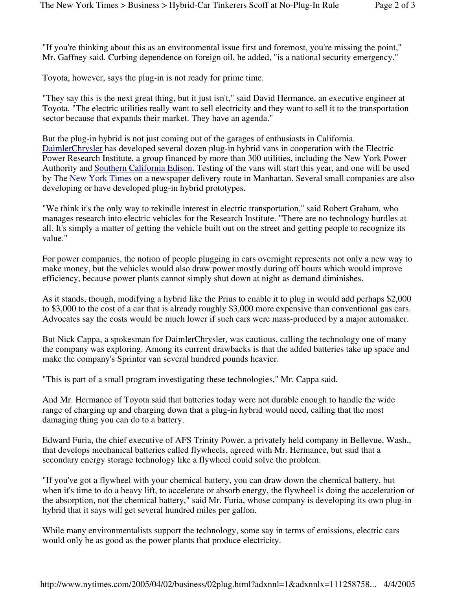"If you're thinking about this as an environmental issue first and foremost, you're missing the point," Mr. Gaffney said. Curbing dependence on foreign oil, he added, "is a national security emergency."

Toyota, however, says the plug-in is not ready for prime time.

"They say this is the next great thing, but it just isn't," said David Hermance, an executive engineer at Toyota. "The electric utilities really want to sell electricity and they want to sell it to the transportation sector because that expands their market. They have an agenda."

But the plug-in hybrid is not just coming out of the garages of enthusiasts in California. DaimlerChrysler has developed several dozen plug-in hybrid vans in cooperation with the Electric Power Research Institute, a group financed by more than 300 utilities, including the New York Power Authority and Southern California Edison. Testing of the vans will start this year, and one will be used by The New York Times on a newspaper delivery route in Manhattan. Several small companies are also developing or have developed plug-in hybrid prototypes.

"We think it's the only way to rekindle interest in electric transportation," said Robert Graham, who manages research into electric vehicles for the Research Institute. "There are no technology hurdles at all. It's simply a matter of getting the vehicle built out on the street and getting people to recognize its value."

For power companies, the notion of people plugging in cars overnight represents not only a new way to make money, but the vehicles would also draw power mostly during off hours which would improve efficiency, because power plants cannot simply shut down at night as demand diminishes.

As it stands, though, modifying a hybrid like the Prius to enable it to plug in would add perhaps \$2,000 to \$3,000 to the cost of a car that is already roughly \$3,000 more expensive than conventional gas cars. Advocates say the costs would be much lower if such cars were mass-produced by a major automaker.

But Nick Cappa, a spokesman for DaimlerChrysler, was cautious, calling the technology one of many the company was exploring. Among its current drawbacks is that the added batteries take up space and make the company's Sprinter van several hundred pounds heavier.

"This is part of a small program investigating these technologies," Mr. Cappa said.

And Mr. Hermance of Toyota said that batteries today were not durable enough to handle the wide range of charging up and charging down that a plug-in hybrid would need, calling that the most damaging thing you can do to a battery.

Edward Furia, the chief executive of AFS Trinity Power, a privately held company in Bellevue, Wash., that develops mechanical batteries called flywheels, agreed with Mr. Hermance, but said that a secondary energy storage technology like a flywheel could solve the problem.

"If you've got a flywheel with your chemical battery, you can draw down the chemical battery, but when it's time to do a heavy lift, to accelerate or absorb energy, the flywheel is doing the acceleration or the absorption, not the chemical battery," said Mr. Furia, whose company is developing its own plug-in hybrid that it says will get several hundred miles per gallon.

While many environmentalists support the technology, some say in terms of emissions, electric cars would only be as good as the power plants that produce electricity.